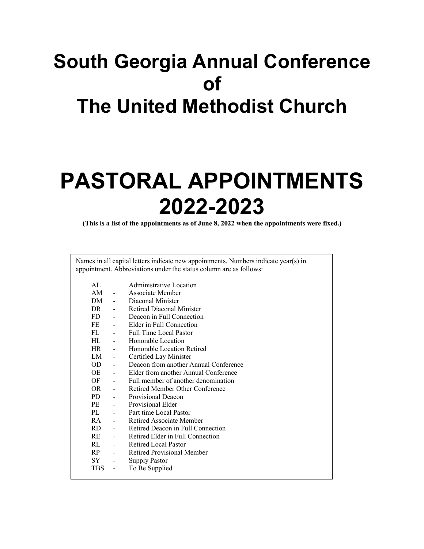# **South Georgia Annual Conference of The United Methodist Church**

# **PASTORAL APPOINTMENTS 2022-2023**

**(This is a list of the appointments as of June 8, 2022 when the appointments were fixed.)**

| AL         |                          | Administrative Location               |
|------------|--------------------------|---------------------------------------|
| AM         |                          | Associate Member                      |
| DM         | $\blacksquare$           | Diaconal Minister                     |
| DR         |                          | <b>Retired Diaconal Minister</b>      |
| FD -       |                          | Deacon in Full Connection             |
| FE -       |                          | Elder in Full Connection              |
| FL.        | $\overline{\phantom{a}}$ | <b>Full Time Local Pastor</b>         |
| HL.        |                          | Honorable Location                    |
| HR –       |                          | Honorable Location Retired            |
| LM         | $\overline{\phantom{a}}$ | Certified Lay Minister                |
| OD         | $\blacksquare$           | Deacon from another Annual Conference |
| OE         | $\blacksquare$           | Elder from another Annual Conference  |
| OF         |                          | Full member of another denomination   |
| OR         | $\overline{\phantom{a}}$ | Retired Member Other Conference       |
| PD -       |                          | Provisional Deacon                    |
| PE         | $\overline{\phantom{a}}$ | Provisional Elder                     |
| PL         |                          | Part time Local Pastor                |
| RA         | $\overline{\phantom{a}}$ | <b>Retired Associate Member</b>       |
| RD –       | $\overline{\phantom{a}}$ | Retired Deacon in Full Connection     |
| RE         | $\overline{\phantom{a}}$ | Retired Elder in Full Connection      |
| RL.        | $\blacksquare$           | <b>Retired Local Pastor</b>           |
| RP         | $\overline{\phantom{a}}$ | Retired Provisional Member            |
| SY         | $\overline{\phantom{0}}$ | <b>Supply Pastor</b>                  |
| <b>TBS</b> | $\blacksquare$           | To Be Supplied                        |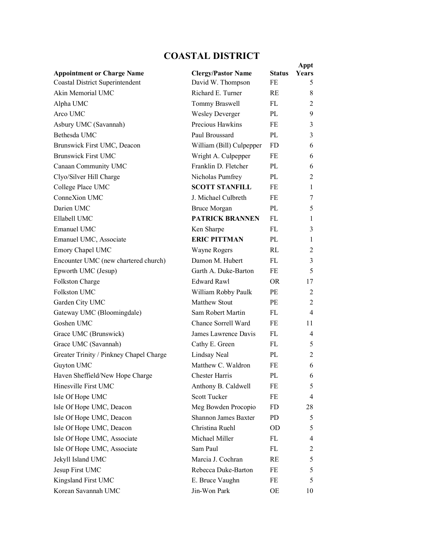## **COASTAL DISTRICT**

|                                                                             |                                                |                     | Appt                             |
|-----------------------------------------------------------------------------|------------------------------------------------|---------------------|----------------------------------|
| <b>Appointment or Charge Name</b><br><b>Coastal District Superintendent</b> | <b>Clergy/Pastor Name</b><br>David W. Thompson | <b>Status</b><br>FE | Years<br>5                       |
| Akin Memorial UMC                                                           | Richard E. Turner                              | RE                  | 8                                |
| Alpha UMC                                                                   | Tommy Braswell                                 | FL.                 | 2                                |
| Arco UMC                                                                    | <b>Wesley Deverger</b>                         | PL                  | 9                                |
| Asbury UMC (Savannah)                                                       | Precious Hawkins                               | FE                  | 3                                |
| Bethesda UMC                                                                | Paul Broussard                                 | $PI_{\ell}$         | 3                                |
| Brunswick First UMC, Deacon                                                 |                                                | FD.                 | 6                                |
| <b>Brunswick First UMC</b>                                                  | William (Bill) Culpepper                       | FE                  | 6                                |
| Canaan Community UMC                                                        | Wright A. Culpepper<br>Franklin D. Fletcher    | PI.                 | 6                                |
| Clyo/Silver Hill Charge                                                     | Nicholas Pumfrey                               | PL                  | 2                                |
| College Place UMC                                                           | <b>SCOTT STANFILL</b>                          | FE                  | 1                                |
| ConneXion UMC                                                               | J. Michael Culbreth                            | FE                  | 7                                |
| Darien UMC                                                                  |                                                | PL                  | 5                                |
| Ellabell UMC                                                                | <b>Bruce Morgan</b><br><b>PATRICK BRANNEN</b>  | FL.                 |                                  |
| Emanuel UMC                                                                 |                                                | FL.                 | 1<br>3                           |
|                                                                             | Ken Sharpe<br><b>ERIC PITTMAN</b>              |                     |                                  |
| Emanuel UMC, Associate                                                      |                                                | PL<br>RI.           | 1                                |
| Emory Chapel UMC                                                            | Wayne Rogers                                   |                     | $\overline{2}$                   |
| Encounter UMC (new chartered church)                                        | Damon M. Hubert                                | FL.                 | 3                                |
| Epworth UMC (Jesup)                                                         | Garth A. Duke-Barton                           | FE                  | 5                                |
| Folkston Charge                                                             | <b>Edward Rawl</b>                             | OR.                 | 17                               |
| Folkston UMC                                                                | William Robby Paulk                            | PE.                 | 2                                |
| Garden City UMC                                                             | <b>Matthew Stout</b>                           | PE.                 | $\overline{2}$<br>$\overline{4}$ |
| Gateway UMC (Bloomingdale)                                                  | Sam Robert Martin                              | FL.                 |                                  |
| Goshen UMC                                                                  | Chance Sorrell Ward                            | FE                  | 11                               |
| Grace UMC (Brunswick)                                                       | James Lawrence Davis                           | FL.                 | $\overline{4}$                   |
| Grace UMC (Savannah)                                                        | Cathy E. Green                                 | FL.                 | 5                                |
| Greater Trinity / Pinkney Chapel Charge                                     | Lindsay Neal                                   | PL                  | 2                                |
| Guyton UMC                                                                  | Matthew C. Waldron                             | FE                  | 6                                |
| Haven Sheffield/New Hope Charge                                             | <b>Chester Harris</b>                          | PL                  | 6                                |
| Hinesville First UMC                                                        | Anthony B. Caldwell                            | FE                  | 5                                |
| Isle Of Hope UMC                                                            | <b>Scott Tucker</b>                            | FE                  | 4                                |
| Isle Of Hope UMC, Deacon                                                    | Meg Bowden Procopio                            | FD                  | 28                               |
| Isle Of Hope UMC, Deacon                                                    | Shannon James Baxter                           | PD                  | 5                                |
| Isle Of Hope UMC, Deacon                                                    | Christina Ruehl                                | OD                  | 5                                |
| Isle Of Hope UMC, Associate                                                 | Michael Miller                                 | FL                  | 4                                |
| Isle Of Hope UMC, Associate                                                 | Sam Paul                                       | FL                  | 2                                |
| Jekyll Island UMC                                                           | Marcia J. Cochran                              | RE                  | 5                                |
| Jesup First UMC                                                             | Rebecca Duke-Barton                            | FE                  | 5                                |
| Kingsland First UMC                                                         | E. Bruce Vaughn                                | FE                  | 5                                |
| Korean Savannah UMC                                                         | Jin-Won Park                                   | OE                  | 10                               |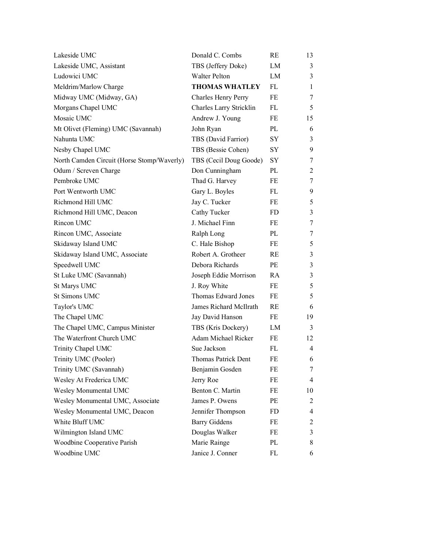| Lakeside UMC                               | Donald C. Combs            | RE        | 13             |
|--------------------------------------------|----------------------------|-----------|----------------|
| Lakeside UMC, Assistant                    | TBS (Jeffery Doke)         | LM        | $\mathfrak{Z}$ |
| Ludowici UMC                               | <b>Walter Pelton</b>       | LM        | 3              |
| Meldrim/Marlow Charge                      | <b>THOMAS WHATLEY</b>      | FL        | $\mathbf{1}$   |
| Midway UMC (Midway, GA)                    | <b>Charles Henry Perry</b> | FE        | $\tau$         |
| Morgans Chapel UMC                         | Charles Larry Stricklin    | FL        | 5              |
| Mosaic UMC                                 | Andrew J. Young            | FE        | 15             |
| Mt Olivet (Fleming) UMC (Savannah)         | John Ryan                  | PL        | 6              |
| Nahunta UMC                                | TBS (David Farrior)        | SY        | 3              |
| Nesby Chapel UMC                           | TBS (Bessie Cohen)         | SY        | 9              |
| North Camden Circuit (Horse Stomp/Waverly) | TBS (Cecil Doug Goode)     | SY        | 7              |
| Odum / Screven Charge                      | Don Cunningham             | PL        | $\overline{c}$ |
| Pembroke UMC                               | Thad G. Harvey             | FE        | 7              |
| Port Wentworth UMC                         | Gary L. Boyles             | FL        | 9              |
| Richmond Hill UMC                          | Jay C. Tucker              | FE        | 5              |
| Richmond Hill UMC, Deacon                  | Cathy Tucker               | FD        | 3              |
| Rincon UMC                                 | J. Michael Finn            | FE        | 7              |
| Rincon UMC, Associate                      | Ralph Long                 | PL        | $\tau$         |
| Skidaway Island UMC                        | C. Hale Bishop             | FE        | 5              |
| Skidaway Island UMC, Associate             | Robert A. Grotheer         | <b>RE</b> | 3              |
| Speedwell UMC                              | Debora Richards            | PE        | $\mathfrak{Z}$ |
| St Luke UMC (Savannah)                     | Joseph Eddie Morrison      | RA        | 3              |
| St Marys UMC                               | J. Roy White               | FE        | 5              |
| <b>St Simons UMC</b>                       | Thomas Edward Jones        | FE        | 5              |
| Taylor's UMC                               | James Richard McIlrath     | <b>RE</b> | 6              |
| The Chapel UMC                             | Jay David Hanson           | FE        | 19             |
| The Chapel UMC, Campus Minister            | TBS (Kris Dockery)         | LM        | 3              |
| The Waterfront Church UMC                  | Adam Michael Ricker        | FE        | 12             |
| Trinity Chapel UMC                         | Sue Jackson                | FL        | $\overline{4}$ |
| Trinity UMC (Pooler)                       | Thomas Patrick Dent        | FE        | 6              |
| Trinity UMC (Savannah)                     | Benjamin Gosden            | FE        | 7              |
| Wesley At Frederica UMC                    | Jerry Roe                  | FE        | 4              |
| Wesley Monumental UMC                      | Benton C. Martin           | FE        | 10             |
| Wesley Monumental UMC, Associate           | James P. Owens             | PE        | $\overline{2}$ |
| Wesley Monumental UMC, Deacon              | Jennifer Thompson          | FD        | 4              |
| White Bluff UMC                            | <b>Barry Giddens</b>       | FE        | $\overline{c}$ |
| Wilmington Island UMC                      | Douglas Walker             | FE        | 3              |
| Woodbine Cooperative Parish                | Marie Rainge               | PL        | 8              |
| Woodbine UMC                               | Janice J. Conner           | FL        | 6              |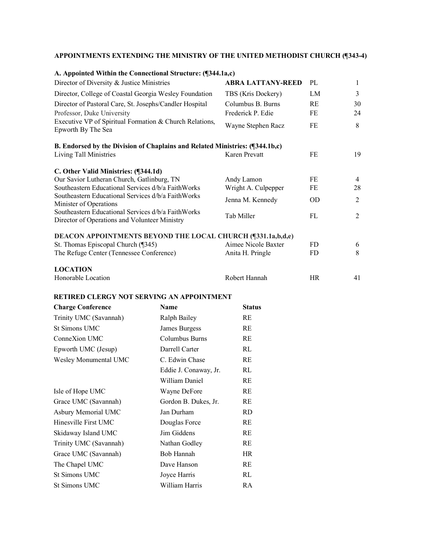| A. Appointed Within the Connectional Structure: (¶344.1a,c)                                         |                          |           |                |
|-----------------------------------------------------------------------------------------------------|--------------------------|-----------|----------------|
| Director of Diversity & Justice Ministries                                                          | <b>ABRA LATTANY-REED</b> | PL        | 1              |
| Director, College of Coastal Georgia Wesley Foundation                                              | TBS (Kris Dockery)       | LM        | 3              |
| Director of Pastoral Care, St. Josephs/Candler Hospital                                             | Columbus B. Burns        | <b>RE</b> | 30             |
| Professor, Duke University                                                                          | Frederick P. Edie        | FF.       | 24             |
| Executive VP of Spiritual Formation & Church Relations,<br>Epworth By The Sea                       | Wayne Stephen Racz       | FE        | 8              |
| B. Endorsed by the Division of Chaplains and Related Ministries: (¶344.1b,c)                        |                          |           |                |
| Living Tall Ministries                                                                              | Karen Prevatt            | FE        | 19             |
| C. Other Valid Ministries: (¶344.1d)                                                                |                          |           |                |
| Our Savior Lutheran Church, Gatlinburg, TN                                                          | Andy Lamon               | FE        | 4              |
| Southeastern Educational Services d/b/a FaithWorks                                                  | Wright A. Culpepper      | FE        | 28             |
| Southeastern Educational Services d/b/a FaithWorks<br>Minister of Operations                        | Jenna M. Kennedy         | <b>OD</b> | $\overline{2}$ |
| Southeastern Educational Services d/b/a FaithWorks<br>Director of Operations and Volunteer Ministry | Tab Miller               | FL        | 2              |
| DEACON APPOINTMENTS BEYOND THE LOCAL CHURCH (¶331.1a,b,d,e)                                         |                          |           |                |
| St. Thomas Episcopal Church (¶345)                                                                  | Aimee Nicole Baxter      | FD.       | 6              |
| The Refuge Center (Tennessee Conference)                                                            | Anita H. Pringle         | <b>FD</b> | 8              |
| <b>LOCATION</b>                                                                                     |                          |           |                |
| Honorable Location                                                                                  | Robert Hannah            | <b>HR</b> | 41             |

| <b>Charge Conference</b> | Name                  | <b>Status</b> |
|--------------------------|-----------------------|---------------|
| Trinity UMC (Savannah)   | Ralph Bailey          | RE            |
| St Simons UMC            | James Burgess         | RE            |
| ConneXion UMC            | Columbus Burns        | RE            |
| Epworth UMC (Jesup)      | Darrell Carter        | RL            |
| Wesley Monumental UMC    | C. Edwin Chase        | RE            |
|                          | Eddie J. Conaway, Jr. | RL            |
|                          | William Daniel        | RE            |
| Isle of Hope UMC         | Wayne DeFore          | RE            |
| Grace UMC (Savannah)     | Gordon B. Dukes, Jr.  | RE            |
| Asbury Memorial UMC      | Jan Durham            | <b>RD</b>     |
| Hinesville First UMC     | Douglas Force         | RE            |
| Skidaway Island UMC      | Jim Giddens           | RE            |
| Trinity UMC (Savannah)   | Nathan Godley         | RE            |
| Grace UMC (Savannah)     | Bob Hannah            | <b>HR</b>     |
| The Chapel UMC           | Dave Hanson           | RE            |
| <b>St Simons UMC</b>     | Joyce Harris          | RL            |
| <b>St Simons UMC</b>     | William Harris        | RA            |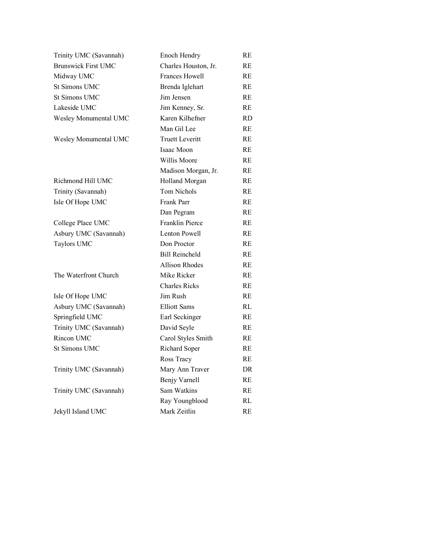| Trinity UMC (Savannah)     | Enoch Hendry           | RE            |
|----------------------------|------------------------|---------------|
| <b>Brunswick First UMC</b> | Charles Houston, Jr.   | RE            |
| Midway UMC                 | Frances Howell         | RE            |
| <b>St Simons UMC</b>       | Brenda Iglehart        | RE            |
| <b>St Simons UMC</b>       | Jim Jensen             | RE            |
| Lakeside UMC               | Jim Kenney, Sr.        | <b>RE</b>     |
| Wesley Monumental UMC      | Karen Kilhefner        | RD.           |
|                            | Man Gil Lee            | <b>RE</b>     |
| Wesley Monumental UMC      | <b>Truett Leveritt</b> | RE.           |
|                            | Isaac Moon             | RE            |
|                            | Willis Moore           | RE            |
|                            | Madison Morgan, Jr.    | RE.           |
| Richmond Hill UMC          | <b>Holland Morgan</b>  | RE            |
| Trinity (Savannah)         | Tom Nichols            | RE.           |
| Isle Of Hope UMC           | Frank Parr             | RE.           |
|                            | Dan Pegram             | RE.           |
| College Place UMC          | <b>Franklin Pierce</b> | RE            |
| Asbury UMC (Savannah)      | Lenton Powell          | RE            |
| Taylors UMC                | Don Proctor            | RE            |
|                            | <b>Bill Reincheld</b>  | RE.           |
|                            | Allison Rhodes         | RE.           |
| The Waterfront Church      | Mike Ricker            | RE.           |
|                            | <b>Charles Ricks</b>   | <b>RE</b>     |
| Isle Of Hope UMC           | Jim Rush               | RE.           |
| Asbury UMC (Savannah)      | <b>Elliott Sams</b>    | RL            |
| Springfield UMC            | Earl Seckinger         | RE            |
| Trinity UMC (Savannah)     | David Seyle            | RE            |
| Rincon UMC                 | Carol Styles Smith     | RE            |
| <b>St Simons UMC</b>       | Richard Soper          | RE            |
|                            | Ross Tracy             | $\mathbf{RE}$ |
| Trinity UMC (Savannah)     | Mary Ann Traver        | DR            |
|                            | Benjy Varnell          | RE            |
| Trinity UMC (Savannah)     | Sam Watkins            | RE            |
|                            | Ray Youngblood         | RL            |
| Jekyll Island UMC          | Mark Zeitlin           | RE            |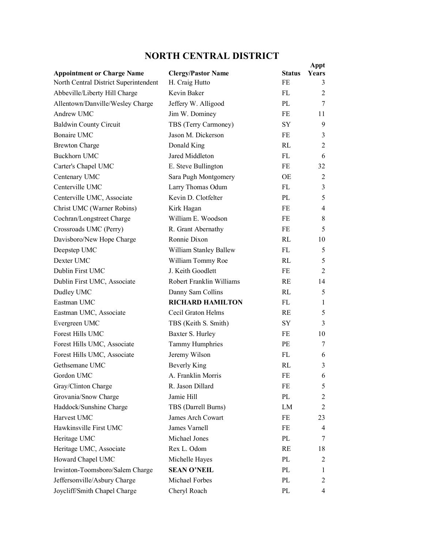## **NORTH CENTRAL DISTRICT**

|                                       |                           |               | Appt           |
|---------------------------------------|---------------------------|---------------|----------------|
| <b>Appointment or Charge Name</b>     | <b>Clergy/Pastor Name</b> | <b>Status</b> | Years          |
| North Central District Superintendent | H. Craig Hutto            | FE            | 3              |
| Abbeville/Liberty Hill Charge         | Kevin Baker               | FL            | 2              |
| Allentown/Danville/Wesley Charge      | Jeffery W. Alligood       | PL            | 7              |
| Andrew UMC                            | Jim W. Dominey            | <b>FE</b>     | 11             |
| <b>Baldwin County Circuit</b>         | TBS (Terry Carmoney)      | <b>SY</b>     | 9              |
| <b>Bonaire UMC</b>                    | Jason M. Dickerson        | FE            | 3              |
| <b>Brewton Charge</b>                 | Donald King               | RL            | $\overline{2}$ |
| <b>Buckhorn UMC</b>                   | Jared Middleton           | FL            | 6              |
| Carter's Chapel UMC                   | E. Steve Bullington       | <b>FE</b>     | 32             |
| Centenary UMC                         | Sara Pugh Montgomery      | OE            | $\overline{2}$ |
| Centerville UMC                       | Larry Thomas Odum         | FL            | 3              |
| Centerville UMC, Associate            | Kevin D. Clotfelter       | PL            | 5              |
| Christ UMC (Warner Robins)            | Kirk Hagan                | FE            | $\overline{4}$ |
| Cochran/Longstreet Charge             | William E. Woodson        | FE            | 8              |
| Crossroads UMC (Perry)                | R. Grant Abernathy        | FE            | 5              |
| Davisboro/New Hope Charge             | Ronnie Dixon              | RI            | 10             |
| Deepstep UMC                          | William Stanley Ballew    | FL            | 5              |
| Dexter UMC                            | William Tommy Roe         | RI            | 5              |
| Dublin First UMC                      | J. Keith Goodlett         | FE            | $\overline{2}$ |
| Dublin First UMC, Associate           | Robert Franklin Williams  | <b>RE</b>     | 14             |
| Dudley UMC                            | Danny Sam Collins         | RL            | 5              |
| Eastman UMC                           | <b>RICHARD HAMILTON</b>   | FL            | $\mathbf{1}$   |
| Eastman UMC, Associate                | Cecil Graton Helms        | <b>RE</b>     | 5              |
| Evergreen UMC                         | TBS (Keith S. Smith)      | <b>SY</b>     | 3              |
| Forest Hills UMC                      | Baxter S. Hurley          | FE            | 10             |
| Forest Hills UMC, Associate           | Tammy Humphries           | PE            | 7              |
| Forest Hills UMC, Associate           | Jeremy Wilson             | FL            | 6              |
| Gethsemane UMC                        | <b>Beverly King</b>       | RL            | 3              |
| Gordon UMC                            | A. Franklin Morris        | FE            | 6              |
| Gray/Clinton Charge                   | R. Jason Dillard          | FE            | 5              |
| Grovania/Snow Charge                  | Jamie Hill                | PL            | $\overline{2}$ |
| Haddock/Sunshine Charge               | TBS (Darrell Burns)       | LM            | 2              |
| Harvest UMC                           | James Arch Cowart         | FE            | 23             |
| Hawkinsville First UMC                | James Varnell             | FE            | 4              |
| Heritage UMC                          | Michael Jones             | PL            | 7              |
| Heritage UMC, Associate               | Rex L. Odom               | RE            | 18             |
| Howard Chapel UMC                     | Michelle Hayes            | PL            | 2              |
| Irwinton-Toomsboro/Salem Charge       | <b>SEAN O'NEIL</b>        | PL            | 1              |
| Jeffersonville/Asbury Charge          | Michael Forbes            | PL            | 2              |
| Joycliff/Smith Chapel Charge          | Cheryl Roach              | PL            | 4              |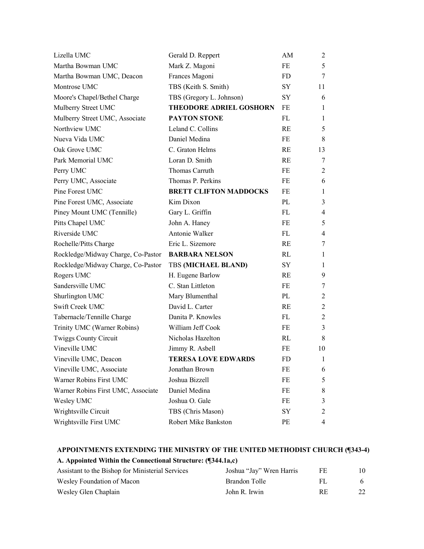| Lizella UMC                        | Gerald D. Reppert              | AM        | $\overline{2}$ |
|------------------------------------|--------------------------------|-----------|----------------|
| Martha Bowman UMC                  | Mark Z. Magoni                 | FE        | 5              |
| Martha Bowman UMC, Deacon          | Frances Magoni                 | <b>FD</b> | 7              |
| Montrose UMC                       | TBS (Keith S. Smith)           | <b>SY</b> | 11             |
| Moore's Chapel/Bethel Charge       | TBS (Gregory L. Johnson)       | SY        | 6              |
| Mulberry Street UMC                | <b>THEODORE ADRIEL GOSHORN</b> | FE        | $\mathbf{1}$   |
| Mulberry Street UMC, Associate     | PAYTON STONE                   | FL        | 1              |
| Northview UMC                      | Leland C. Collins              | RE        | 5              |
| Nueva Vida UMC                     | Daniel Medina                  | FE        | 8              |
| Oak Grove UMC                      | C. Graton Helms                | RE        | 13             |
| Park Memorial UMC                  | Loran D. Smith                 | <b>RE</b> | 7              |
| Perry UMC                          | Thomas Carruth                 | FE        | $\overline{2}$ |
| Perry UMC, Associate               | Thomas P. Perkins              | FE        | 6              |
| Pine Forest UMC                    | <b>BRETT CLIFTON MADDOCKS</b>  | FE        | $\mathbf{1}$   |
| Pine Forest UMC, Associate         | Kim Dixon                      | PL        | 3              |
| Piney Mount UMC (Tennille)         | Gary L. Griffin                | FL        | 4              |
| Pitts Chapel UMC                   | John A. Haney                  | FE        | 5              |
| Riverside UMC                      | Antonie Walker                 | FL        | 4              |
| Rochelle/Pitts Charge              | Eric L. Sizemore               | <b>RE</b> | 7              |
| Rockledge/Midway Charge, Co-Pastor | <b>BARBARA NELSON</b>          | RL        | $\mathbf{1}$   |
| Rockledge/Midway Charge, Co-Pastor | <b>TBS (MICHAEL BLAND)</b>     | SY        | 1              |
| Rogers UMC                         | H. Eugene Barlow               | <b>RE</b> | 9              |
| Sandersville UMC                   | C. Stan Littleton              | FE        | 7              |
| Shurlington UMC                    | Mary Blumenthal                | PL        | 2              |
| Swift Creek UMC                    | David L. Carter                | RE        | $\overline{2}$ |
| Tabernacle/Tennille Charge         | Danita P. Knowles              | FL        | $\overline{c}$ |
| Trinity UMC (Warner Robins)        | William Jeff Cook              | FE        | 3              |
| <b>Twiggs County Circuit</b>       | Nicholas Hazelton              | RL        | 8              |
| Vineville UMC                      | Jimmy R. Asbell                | FE        | 10             |
| Vineville UMC, Deacon              | <b>TERESA LOVE EDWARDS</b>     | <b>FD</b> | 1              |
| Vineville UMC, Associate           | Jonathan Brown                 | FE        | 6              |
| Warner Robins First UMC            | Joshua Bizzell                 | FE        | 5              |
| Warner Robins First UMC, Associate | Daniel Medina                  | FE        | 8              |
| Wesley UMC                         | Joshua O. Gale                 | FE        | 3              |
| Wrightsville Circuit               | TBS (Chris Mason)              | SY        | $\overline{c}$ |
| Wrightsville First UMC             | Robert Mike Bankston           | PE        | 4              |

**A. Appointed Within the Connectional Structure: (¶344.1a,c)**

| Assistant to the Bishop for Ministerial Services | Joshua "Jay" Wren Harris | FЕ | 10. |
|--------------------------------------------------|--------------------------|----|-----|
| Wesley Foundation of Macon                       | Brandon Tolle            |    | h.  |
| Wesley Glen Chaplain                             | John R. Irwin            | RE | 22  |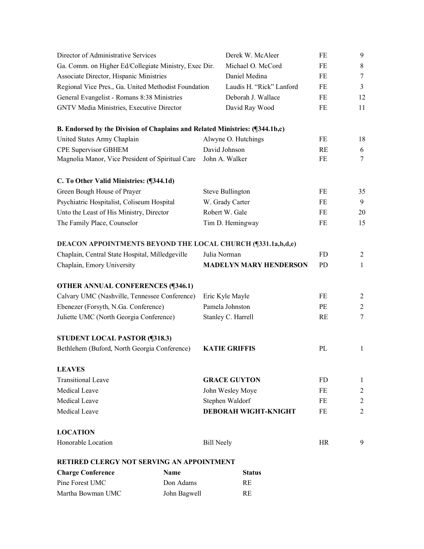| Director of Administrative Services                                                              |             |                         | Derek W. McAleer              | FE        | 9                |
|--------------------------------------------------------------------------------------------------|-------------|-------------------------|-------------------------------|-----------|------------------|
| Ga. Comm. on Higher Ed/Collegiate Ministry, Exec Dir.<br>Associate Director, Hispanic Ministries |             |                         | Michael O. McCord             | FE        | $8\,$            |
|                                                                                                  |             |                         | Daniel Medina                 | FE        | $\boldsymbol{7}$ |
| Regional Vice Pres., Ga. United Methodist Foundation                                             |             |                         | Laudis H. "Rick" Lanford      | FE        | $\overline{3}$   |
| General Evangelist - Romans 8:38 Ministries                                                      |             |                         | Deborah J. Wallace            | FE        | 12               |
| GNTV Media Ministries, Executive Director                                                        |             |                         | David Ray Wood                | FE        | 11               |
| B. Endorsed by the Division of Chaplains and Related Ministries: (¶344.1b,c)                     |             |                         |                               |           |                  |
| United States Army Chaplain                                                                      |             | Alwyne O. Hutchings     |                               | FE        | 18               |
| CPE Supervisor GBHEM                                                                             |             | David Johnson           |                               | RE        | 6                |
| Magnolia Manor, Vice President of Spiritual Care                                                 |             | John A. Walker          |                               | FE        | $\tau$           |
| C. To Other Valid Ministries: (¶344.1d)                                                          |             |                         |                               |           |                  |
| Green Bough House of Prayer                                                                      |             | <b>Steve Bullington</b> |                               | FE        | 35               |
| Psychiatric Hospitalist, Coliseum Hospital                                                       |             | W. Grady Carter         |                               | FE        | 9                |
| Unto the Least of His Ministry, Director                                                         |             | Robert W. Gale          |                               | FE        | 20               |
| The Family Place, Counselor                                                                      |             | Tim D. Hemingway        |                               | FE        | 15               |
| DEACON APPOINTMENTS BEYOND THE LOCAL CHURCH (¶331.1a,b,d,e)                                      |             |                         |                               |           |                  |
| Chaplain, Central State Hospital, Milledgeville                                                  |             | Julia Norman            |                               | <b>FD</b> | $\overline{2}$   |
| Chaplain, Emory University                                                                       |             |                         | <b>MADELYN MARY HENDERSON</b> | <b>PD</b> | $\mathbf{1}$     |
| <b>OTHER ANNUAL CONFERENCES (¶346.1)</b>                                                         |             |                         |                               |           |                  |
| Calvary UMC (Nashville, Tennessee Conference)                                                    |             | Eric Kyle Mayle         |                               | FE        | $\overline{2}$   |
| Ebenezer (Forsyth, N.Ga. Conference)                                                             |             | Pamela Johnston         |                               | PE        | $\overline{c}$   |
| Juliette UMC (North Georgia Conference)                                                          |             | Stanley C. Harrell      |                               | RE        | $\tau$           |
| <b>STUDENT LOCAL PASTOR (¶318.3)</b>                                                             |             |                         |                               |           |                  |
| Bethlehem (Buford, North Georgia Conference)                                                     |             | <b>KATIE GRIFFIS</b>    |                               | PL        | $\mathbf{1}$     |
| <b>LEAVES</b>                                                                                    |             |                         |                               |           |                  |
| <b>Transitional Leave</b>                                                                        |             | <b>GRACE GUYTON</b>     |                               | FD.       | 1                |
| Medical Leave                                                                                    |             | John Wesley Moye        |                               | FE        | $\overline{c}$   |
| Medical Leave                                                                                    |             | Stephen Waldorf         |                               | FE        | $\overline{c}$   |
| Medical Leave                                                                                    |             |                         | DEBORAH WIGHT-KNIGHT          | FE        | $\overline{2}$   |
| <b>LOCATION</b>                                                                                  |             |                         |                               |           |                  |
| Honorable Location                                                                               |             | <b>Bill Neely</b>       |                               | HR        | 9                |
| <b>RETIRED CLERGY NOT SERVING AN APPOINTMENT</b>                                                 |             |                         |                               |           |                  |
| <b>Charge Conference</b>                                                                         | <b>Name</b> |                         | <b>Status</b>                 |           |                  |
| Pine Forest UMC                                                                                  | Don Adams   |                         | RE                            |           |                  |

Martha Bowman UMC John Bagwell RE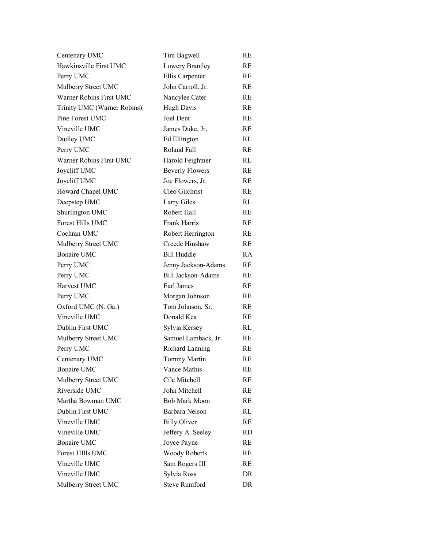| Centenary UMC               | Tim Bagwell               | RE        |
|-----------------------------|---------------------------|-----------|
| Hawkinsville First UMC      | Lowery Brantley           | RE        |
| Perry UMC                   | Ellis Carpenter           | RE        |
| Mulberry Street UMC         | John Carroll, Jr.         | RE.       |
| Warner Robins First UMC     | Nancylee Cater            | RE.       |
| Trinity UMC (Warner Robins) | <b>Hugh Davis</b>         | RE        |
| Pine Forest UMC             | Joel Dent                 | RE        |
| Vineville UMC               | James Duke, Jr.           | RE        |
| Dudley UMC                  | Ed Ellington              | RL        |
| Perry UMC                   | Roland Fall               | RE        |
| Warner Robins First UMC     | Harold Feightner          | RL        |
| Joycliff UMC                | <b>Beverly Flowers</b>    | RE.       |
| Joycliff UMC                | Joe Flowers, Jr.          | RE        |
| Howard Chapel UMC           | Cleo Gilchrist            | RE        |
| Deepstep UMC                | Larry Giles               | RL        |
| Shurlington UMC             | Robert Hall               | <b>RE</b> |
| <b>Forest Hills UMC</b>     | <b>Frank Harris</b>       | RE.       |
| Cochran UMC                 | Robert Herrington         | RE        |
| Mulberry Street UMC         | Creede Hinshaw            | RE        |
| <b>Bonaire UMC</b>          | Bill Huddle               | RA.       |
| Perry UMC                   | Jenny Jackson-Adams       | RE        |
| Perry UMC                   | <b>Bill Jackson-Adams</b> | RE        |
| Harvest UMC                 | Earl James                | RE        |
| Perry UMC                   | Morgan Johnson            | RE        |
| Oxford UMC (N. Ga.)         | Tom Johnson, Sr.          | RE        |
| Vineville UMC               | Donald Kea                | RE        |
| Dublin First UMC            | Sylvia Kersey             | RL        |
| Mulberry Street UMC         | Samuel Lamback, Jr.       | RE        |
| Perry UMC                   | Richard Lanning           | RE        |
| Centenary UMC               | <b>Tommy Martin</b>       | RE        |
| <b>Bonaire UMC</b>          | Vance Mathis              | RE        |
| Mulberry Street UMC         | Cile Mitchell             | RE        |
| Riverside UMC               | John Mitchell             | RE        |
| Martha Bowman UMC           | <b>Bob Mark Moon</b>      | RE        |
| Dublin First UMC            | Barbara Nelson            | RL        |
| Vineville UMC               | <b>Billy Oliver</b>       | RE        |
| Vineville UMC               | Jeffery A. Seeley         | RD        |
| <b>Bonaire UMC</b>          | Joyce Payne               | RE        |
| <b>Forest HIlls UMC</b>     | <b>Woody Roberts</b>      | RE        |
| Vineville UMC               | Sam Rogers III            | RE        |
| Vineville UMC               | Sylvia Ross               | DR        |
| Mulberry Street UMC         | <b>Steve Rumford</b>      | DR        |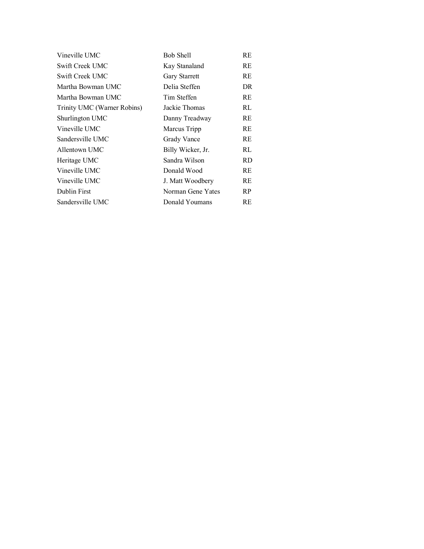| Vineville UMC               | <b>Bob Shell</b>     | RE  |
|-----------------------------|----------------------|-----|
| Swift Creek UMC             | Kay Stanaland        | RE  |
| Swift Creek UMC             | <b>Gary Starrett</b> | RE  |
| Martha Bowman UMC           | Delia Steffen        | DR  |
| Martha Bowman UMC           | Tim Steffen          | RE  |
| Trinity UMC (Warner Robins) | Jackie Thomas        | RL  |
| Shurlington UMC             | Danny Treadway       | RE  |
| Vineville UMC               | Marcus Tripp         | RE  |
| Sandersville UMC            | Grady Vance          | RE  |
| Allentown UMC               | Billy Wicker, Jr.    | RL  |
| Heritage UMC                | Sandra Wilson        | RD  |
| Vineville UMC               | Donald Wood          | RE  |
| Vineville UMC               | J. Matt Woodbery     | RE  |
| Dublin First                | Norman Gene Yates    | RP. |
| Sandersville UMC            | Donald Youmans       | RE  |
|                             |                      |     |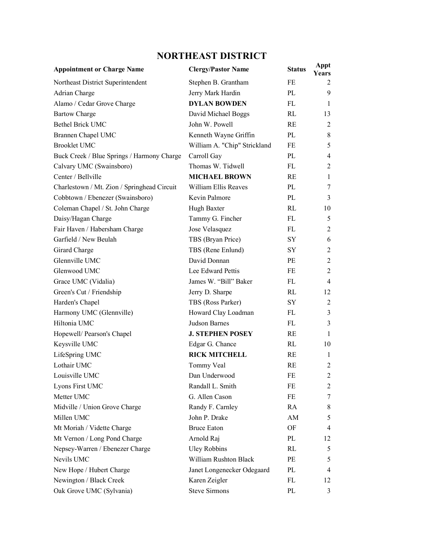# **NORTHEAST DISTRICT**

| <b>Appointment or Charge Name</b>           | <b>Clergy/Pastor Name</b>    | <b>Status</b> | Appt<br><b>Years</b> |
|---------------------------------------------|------------------------------|---------------|----------------------|
| Northeast District Superintendent           | Stephen B. Grantham          | FE            | 2                    |
| Adrian Charge                               | Jerry Mark Hardin            | PL            | 9                    |
| Alamo / Cedar Grove Charge                  | <b>DYLAN BOWDEN</b>          | FL            | 1                    |
| <b>Bartow Charge</b>                        | David Michael Boggs          | RL            | 13                   |
| <b>Bethel Brick UMC</b>                     | John W. Powell               | RE            | $\overline{2}$       |
| Brannen Chapel UMC                          | Kenneth Wayne Griffin        | PL            | $\,$ 8 $\,$          |
| <b>Brooklet UMC</b>                         | William A. "Chip" Strickland | FE            | 5                    |
| Buck Creek / Blue Springs / Harmony Charge  | Carroll Gay                  | PL            | $\overline{4}$       |
| Calvary UMC (Swainsboro)                    | Thomas W. Tidwell            | FL            | $\overline{2}$       |
| Center / Bellville                          | <b>MICHAEL BROWN</b>         | RE            | 1                    |
| Charlestown / Mt. Zion / Springhead Circuit | William Ellis Reaves         | PL            | 7                    |
| Cobbtown / Ebenezer (Swainsboro)            | Kevin Palmore                | PL            | 3                    |
| Coleman Chapel / St. John Charge            | Hugh Baxter                  | RI            | 10                   |
| Daisy/Hagan Charge                          | Tammy G. Fincher             | FL            | 5                    |
| Fair Haven / Habersham Charge               | Jose Velasquez               | FL            | $\overline{2}$       |
| Garfield / New Beulah                       | TBS (Bryan Price)            | SY            | 6                    |
| Girard Charge                               | TBS (Rene Enlund)            | SY            | $\overline{2}$       |
| Glennville UMC                              | David Donnan                 | <b>PE</b>     | $\sqrt{2}$           |
| Glenwood UMC                                | Lee Edward Pettis            | FE            | $\overline{2}$       |
| Grace UMC (Vidalia)                         | James W. "Bill" Baker        | FL            | $\overline{4}$       |
| Green's Cut / Friendship                    | Jerry D. Sharpe              | RL            | 12                   |
| Harden's Chapel                             | TBS (Ross Parker)            | SY            | $\overline{2}$       |
| Harmony UMC (Glennville)                    | Howard Clay Loadman          | FL            | 3                    |
| Hiltonia UMC                                | Judson Barnes                | FL            | 3                    |
| Hopewell/ Pearson's Chapel                  | <b>J. STEPHEN POSEY</b>      | RE            | 1                    |
| Keysville UMC                               | Edgar G. Chance              | RL            | 10                   |
| LifeSpring UMC                              | <b>RICK MITCHELL</b>         | RE            | 1                    |
| Lothair UMC                                 | Tommy Veal                   | RE            | 2                    |
| Louisville UMC                              | Dan Underwood                | FE            | 2                    |
| Lyons First UMC                             | Randall L. Smith             | FE            | 2                    |
| Metter UMC                                  | G. Allen Cason               | FE            | 7                    |
| Midville / Union Grove Charge               | Randy F. Carnley             | RA            | 8                    |
| Millen UMC                                  | John P. Drake                | AM            | 5                    |
| Mt Moriah / Vidette Charge                  | <b>Bruce Eaton</b>           | OF            | 4                    |
| Mt Vernon / Long Pond Charge                | Arnold Raj                   | PL            | 12                   |
| Nepsey-Warren / Ebenezer Charge             | <b>Uley Robbins</b>          | RL            | 5                    |
| Nevils UMC                                  | William Rushton Black        | PE            | 5                    |
| New Hope / Hubert Charge                    | Janet Longenecker Odegaard   | PL            | 4                    |
| Newington / Black Creek                     | Karen Zeigler                | FL            | 12                   |
| Oak Grove UMC (Sylvania)                    | <b>Steve Sirmons</b>         | PL            | 3                    |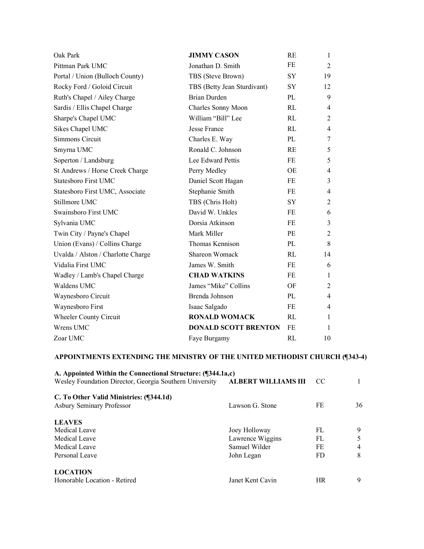| Oak Park                           | <b>JIMMY CASON</b>          | <b>RE</b> | 1              |
|------------------------------------|-----------------------------|-----------|----------------|
| Pittman Park UMC                   | Jonathan D. Smith           | FE        | 2              |
| Portal / Union (Bulloch County)    | TBS (Steve Brown)           | <b>SY</b> | 19             |
| Rocky Ford / Goloid Circuit        | TBS (Betty Jean Sturdivant) | <b>SY</b> | 12             |
| Ruth's Chapel / Ailey Charge       | <b>Brian Durden</b>         | PL        | 9              |
| Sardis / Ellis Chapel Charge       | Charles Sonny Moon          | RL        | $\overline{4}$ |
| Sharpe's Chapel UMC                | William "Bill" Lee          | RL        | 2              |
| Sikes Chapel UMC                   | <b>Jesse France</b>         | RL        | $\overline{4}$ |
| Simmons Circuit                    | Charles E. Way              | PL        | 7              |
| Smyrna UMC                         | Ronald C. Johnson           | RE        | 5              |
| Soperton / Landsburg               | Lee Edward Pettis           | <b>FE</b> | 5              |
| St Andrews / Horse Creek Charge    | Perry Medley                | <b>OE</b> | $\overline{4}$ |
| Statesboro First UMC               | Daniel Scott Hagan          | FE        | 3              |
| Statesboro First UMC, Associate    | Stephanie Smith             | <b>FE</b> | $\overline{4}$ |
| Stillmore UMC                      | TBS (Chris Holt)            | <b>SY</b> | $\overline{2}$ |
| Swainsboro First UMC               | David W. Unkles             | FE        | 6              |
| Sylvania UMC                       | Dorsia Atkinson             | <b>FE</b> | 3              |
| Twin City / Payne's Chapel         | Mark Miller                 | PE        | $\overline{2}$ |
| Union (Evans) / Collins Charge     | Thomas Kennison             | PL        | 8              |
| Uvalda / Alston / Charlotte Charge | Shareon Womack              | RL        | 14             |
| Vidalia First UMC                  | James W. Smith              | FE        | 6              |
| Wadley / Lamb's Chapel Charge      | <b>CHAD WATKINS</b>         | FE        | 1              |
| Waldens UMC                        | James "Mike" Collins        | OF        | $\overline{2}$ |
| Waynesboro Circuit                 | Brenda Johnson              | PL        | 4              |
| Waynesboro First                   | Isaac Salgado               | FE        | 4              |
| Wheeler County Circuit             | <b>RONALD WOMACK</b>        | RL        | $\mathbf{1}$   |
| Wrens UMC                          | <b>DONALD SCOTT BRENTON</b> | FE        | 1              |
| Zoar UMC                           | Faye Burgamy                | RI.       | 10             |

| CC.       |    |
|-----------|----|
|           |    |
| FE        | 36 |
|           |    |
| FL.       | 9  |
| FL.       | 5  |
| FE        | 4  |
| FD.       | 8  |
|           |    |
| <b>HR</b> | 9  |
|           |    |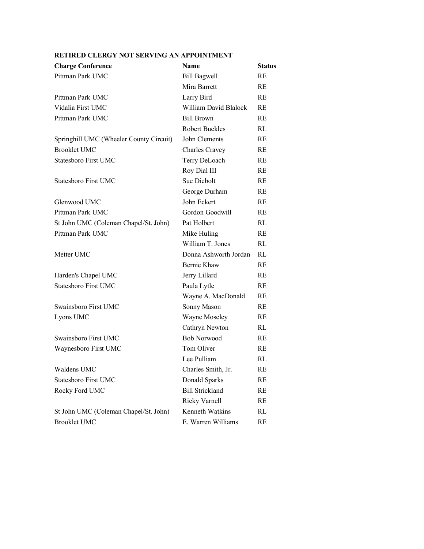| <b>Charge Conference</b>                | <b>Name</b>            | Status    |
|-----------------------------------------|------------------------|-----------|
| Pittman Park UMC                        | <b>Bill Bagwell</b>    | RE        |
|                                         | Mira Barrett           | RE        |
| Pittman Park UMC                        | Larry Bird             | RE        |
| Vidalia First UMC                       | William David Blalock  | RE        |
| Pittman Park UMC                        | <b>Bill Brown</b>      | RE        |
|                                         | <b>Robert Buckles</b>  | RL        |
| Springhill UMC (Wheeler County Circuit) | John Clements          | RE        |
| <b>Brooklet UMC</b>                     | <b>Charles Cravey</b>  | RE        |
| <b>Statesboro First UMC</b>             | Terry DeLoach          | RE        |
|                                         | Roy Dial III           | RE        |
| Statesboro First UMC                    | Sue Diebolt            | RE        |
|                                         | George Durham          | RE        |
| Glenwood UMC                            | John Eckert            | RE        |
| Pittman Park UMC                        | Gordon Goodwill        | RE        |
| St John UMC (Coleman Chapel/St. John)   | Pat Holbert            | RL        |
| Pittman Park UMC                        | Mike Huling            | <b>RE</b> |
|                                         | William T. Jones       | RL        |
| Metter UMC                              | Donna Ashworth Jordan  | RL        |
|                                         | Bernie Khaw            | RE        |
| Harden's Chapel UMC                     | Jerry Lillard          | RE        |
| <b>Statesboro First UMC</b>             | Paula Lytle            | RE        |
|                                         | Wayne A. MacDonald     | RE        |
| Swainsboro First UMC                    | Sonny Mason            | RE        |
| Lyons UMC                               | Wayne Moseley          | RE        |
|                                         | Cathryn Newton         | RL        |
| Swainsboro First UMC                    | <b>Bob Norwood</b>     | RE        |
| Waynesboro First UMC                    | Tom Oliver             | RE        |
|                                         | Lee Pulliam            | RL        |
| Waldens UMC                             | Charles Smith, Jr.     | RE        |
| Statesboro First UMC                    | Donald Sparks          | RE        |
| Rocky Ford UMC                          | <b>Bill Strickland</b> | RE        |
|                                         | Ricky Varnell          | RE        |
| St John UMC (Coleman Chapel/St. John)   | Kenneth Watkins        | RL        |
| <b>Brooklet UMC</b>                     | E. Warren Williams     | RE        |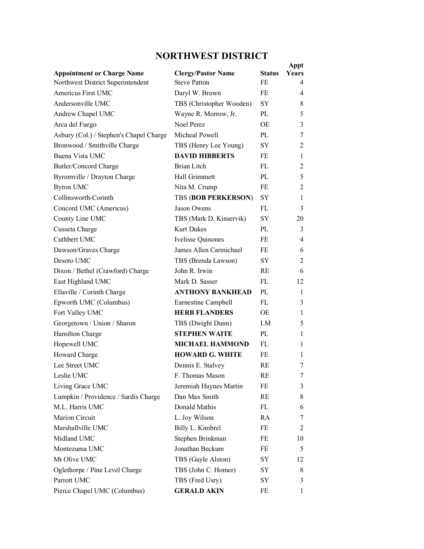## **NORTHWEST DISTRICT**

| <b>Appointment or Charge Name</b>       | <b>Clergy/Pastor Name</b>  | <b>Status</b> | Appt<br>Years  |
|-----------------------------------------|----------------------------|---------------|----------------|
| Northwest District Superintendent       | <b>Steve Patton</b>        | FE            | 4              |
| Americus First UMC                      | Daryl W. Brown             | FE            | 4              |
| Andersonville UMC                       | TBS (Christopher Wooden)   | <b>SY</b>     | 8              |
| Andrew Chapel UMC                       | Wayne R. Morrow, Jr.       | PL            | 5              |
| Arca del Fuego                          | Noel Perez                 | ОE            | 3              |
| Asbury (Col.) / Stephen's Chapel Charge | Micheal Powell             | PL            | 7              |
| Bronwood / Smithville Charge            | TBS (Henry Lee Young)      | <b>SY</b>     | $\overline{2}$ |
| Buena Vista UMC                         | <b>DAVID HIBBERTS</b>      | FE            | 1              |
| Butler/Concord Charge                   | Brian Litch                | FL            | 2              |
| Byromville / Drayton Charge             | Hall Grimmett              | PL            | 5              |
| <b>Byron UMC</b>                        | Nita M. Crump              | FE            | $\overline{2}$ |
| Collinsworth-Corinth                    | <b>TBS (BOB PERKERSON)</b> | <b>SY</b>     | 1              |
| Concord UMC (Americus)                  | Jason Owens                | FL            | 3              |
| County Line UMC                         | TBS (Mark D. Kinservik)    | SY            | 20             |
| Cusseta Charge                          | <b>Kurt Dukes</b>          | PL            | 3              |
| Cuthbert UMC                            | <b>Ivelisse Quinones</b>   | FE            | 4              |
| Dawson/Graves Charge                    | James Allen Carmichael     | FE            | 6              |
| Desoto UMC                              | TBS (Brenda Lawson)        | <b>SY</b>     | $\overline{2}$ |
| Dixon / Bethel (Crawford) Charge        | John R. Irwin              | RE            | 6              |
| East Highland UMC                       | Mark D. Sasser             | FL.           | 12             |
| Ellaville / Corinth Charge              | <b>ANTHONY BANKHEAD</b>    | PL            | 1              |
| Epworth UMC (Columbus)                  | Earnestine Campbell        | FL.           | 3              |
| Fort Valley UMC                         | <b>HERB FLANDERS</b>       | ОE            | 1              |
| Georgetown / Union / Sharon             | TBS (Dwight Dunn)          | LM            | 5              |
| Hamilton Charge                         | <b>STEPHEN WAITE</b>       | PL            | 1              |
| Hopewell UMC                            | <b>MICHAEL HAMMOND</b>     | FL.           | 1              |
| Howard Charge                           | <b>HOWARD G. WHITE</b>     | FE            | 1              |
| Lee Street UMC                          | Dennis E. Stalvey          | RE            | 7              |
| Leslie UMC                              | F. Thomas Mason            | RE            | 7              |
| Living Grace UMC                        | Jeremiah Haynes Martin     | FE            | 3              |
| Lumpkin / Providence / Sardis Charge    | Dan Max Smith              | RE            | 8              |
| M.L. Harris UMC                         | Donald Mathis              | FL            | 6              |
| Marion Circuit                          | L. Joy Wilson              | RA            | 7              |
| Marshallville UMC                       | Billy L. Kimbrel           | FE            | 2              |
| Midland UMC                             | Stephen Brinkman           | FE            | 10             |
| Montezuma UMC                           | Jonathan Beckum            | FE            | 5              |
| Mt Olive UMC                            | TBS (Gayle Alston)         | SY            | 12             |
| Oglethorpe / Pine Level Charge          | TBS (John C. Homer)        | SY            | 8              |
| Parrott UMC                             | TBS (Fred Usry)            | SY            | 3              |
| Pierce Chapel UMC (Columbus)            | <b>GERALD AKIN</b>         | FE            | 1              |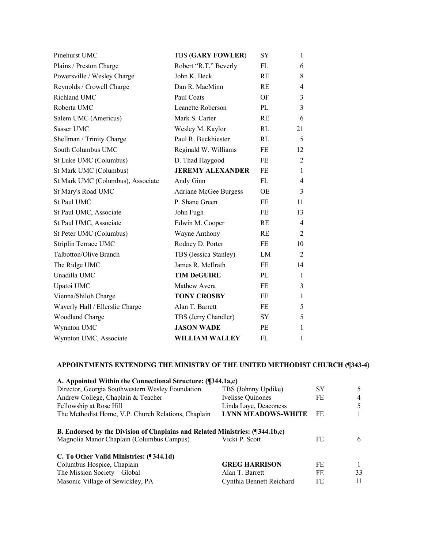| Pinehurst UMC                     | <b>TBS (GARY FOWLER)</b> | SY        | 1              |
|-----------------------------------|--------------------------|-----------|----------------|
| Plains / Preston Charge           | Robert "R.T." Beverly    | FL        | 6              |
| Powersville / Wesley Charge       | John K. Beck             | RE        | 8              |
| Reynolds / Crowell Charge         | Dan R. MacMinn           | <b>RE</b> | 4              |
| Richland UMC                      | Paul Coats               | OF        | 3              |
| Roberta UMC                       | <b>Leanette Roberson</b> | PL        | 3              |
| Salem UMC (Americus)              | Mark S. Carter           | <b>RE</b> | 6              |
| Sasser UMC                        | Wesley M. Kaylor         | RL        | 21             |
| Shellman / Trinity Charge         | Paul R. Buckhiester      | RL        | 5              |
| South Columbus UMC                | Reginald W. Williams     | FE        | 12             |
| St Luke UMC (Columbus)            | D. Thad Haygood          | FE.       | $\overline{2}$ |
| St Mark UMC (Columbus)            | <b>JEREMY ALEXANDER</b>  | <b>FE</b> | 1              |
| St Mark UMC (Columbus), Associate | Andy Ginn                | FL.       | 4              |
| St Mary's Road UMC                | Adriane McGee Burgess    | OE        | 3              |
| St Paul UMC                       | P. Shane Green           | FE        | 11             |
| St Paul UMC, Associate            | John Fugh                | FE        | 13             |
| St Paul UMC, Associate            | Edwin M. Cooper          | RE        | 4              |
| St Peter UMC (Columbus)           | Wayne Anthony            | RE        | $\overline{2}$ |
| Striplin Terrace UMC              | Rodney D. Porter         | FE        | 10             |
| Talbotton/Olive Branch            | TBS (Jessica Stanley)    | LM        | 2              |
| The Ridge UMC                     | James R. McIlrath        | FE        | 14             |
| Unadilla UMC                      | <b>TIM DeGUIRE</b>       | PL        | 1              |
| Upatoi UMC                        | Mathew Avera             | FE        | 3              |
| Vienna/Shiloh Charge              | <b>TONY CROSBY</b>       | FE        | 1              |
| Waverly Hall / Ellerslie Charge   | Alan T. Barrett          | FE        | 5              |
| <b>Woodland Charge</b>            | TBS (Jerry Chandler)     | SY.       | 5              |
| Wynnton UMC                       | <b>JASON WADE</b>        | PE        | 1              |
| Wynnton UMC, Associate            | <b>WILLIAM WALLEY</b>    | FL.       | 1              |

| A. Appointed Within the Connectional Structure: (¶344.1a,c)                  |                           |    |              |
|------------------------------------------------------------------------------|---------------------------|----|--------------|
| Director, Georgia Southwestern Wesley Foundation                             | TBS (Johnny Updike)       | SY | 5            |
| Andrew College, Chaplain & Teacher                                           | <b>Ivelisse Quinones</b>  | FE | 4            |
| Fellowship at Rose Hill                                                      | Linda Laye, Deaconess     |    | 5            |
| The Methodist Home, V.P. Church Relations, Chaplain                          | <b>LYNN MEADOWS-WHITE</b> | FE |              |
| B. Endorsed by the Division of Chaplains and Related Ministries: (¶344.1b,c) |                           |    |              |
| Magnolia Manor Chaplain (Columbus Campus)                                    | Vicki P. Scott            | FE | 6            |
| C. To Other Valid Ministries: (¶344.1d)                                      |                           |    |              |
| Columbus Hospice, Chaplain                                                   | <b>GREG HARRISON</b>      | FE | $\mathbf{1}$ |
| The Mission Society-Global                                                   | Alan T. Barrett           | FE | 33           |
| Masonic Village of Sewickley, PA                                             | Cynthia Bennett Reichard  | FE | 11           |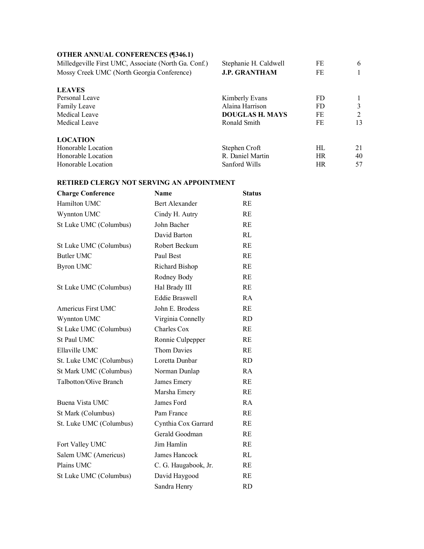#### **OTHER ANNUAL CONFERENCES (¶346.1)**

Honorable Location

| Milledgeville First UMC, Associate (North Ga. Conf.) | Stephanie H. Caldwell  | FE  | 6  |
|------------------------------------------------------|------------------------|-----|----|
| Mossy Creek UMC (North Georgia Conference)           | <b>J.P. GRANTHAM</b>   | FE  |    |
| <b>LEAVES</b>                                        |                        |     |    |
| Personal Leave                                       | Kimberly Evans         | FD. |    |
| <b>Family Leave</b>                                  | Alaina Harrison        | FD. | 3  |
| Medical Leave                                        | <b>DOUGLAS H. MAYS</b> | FE  | 2  |
| Medical Leave                                        | Ronald Smith           | FE  | 13 |
| <b>LOCATION</b>                                      |                        |     |    |
| Honorable Location                                   | Stephen Croft          | HL. | 21 |

Honorable Location R. Daniel Martin HR 40<br>Honorable Location Sanford Wills HR 57

| <b>Charge Conference</b> | <b>Name</b>           | <b>Status</b> |
|--------------------------|-----------------------|---------------|
| Hamilton UMC             | <b>Bert Alexander</b> | RE            |
| Wynnton UMC              | Cindy H. Autry        | RE            |
| St Luke UMC (Columbus)   | John Bacher           | RE            |
|                          | David Barton          | RL            |
| St Luke UMC (Columbus)   | Robert Beckum         | RE            |
| <b>Butler UMC</b>        | Paul Best             | RE            |
| <b>Byron UMC</b>         | Richard Bishop        | RE            |
|                          | Rodney Body           | RE            |
| St Luke UMC (Columbus)   | Hal Brady III         | RE            |
|                          | <b>Eddie Braswell</b> | RA            |
| Americus First UMC       | John E. Brodess       | RE            |
| Wynnton UMC              | Virginia Connelly     | <b>RD</b>     |
| St Luke UMC (Columbus)   | <b>Charles Cox</b>    | RE            |
| St Paul UMC              | Ronnie Culpepper      | RE            |
| Ellaville UMC            | <b>Thom Davies</b>    | RE            |
| St. Luke UMC (Columbus)  | Loretta Dunbar        | <b>RD</b>     |
| St Mark UMC (Columbus)   | Norman Dunlap         | RA            |
| Talbotton/Olive Branch   | James Emery           | RE            |
|                          | Marsha Emery          | RE            |
| Buena Vista UMC          | James Ford            | RA            |
| St Mark (Columbus)       | Pam France            | RE            |
| St. Luke UMC (Columbus)  | Cynthia Cox Garrard   | <b>RE</b>     |
|                          | Gerald Goodman        | RE            |
| Fort Valley UMC          | Jim Hamlin            | RE            |
| Salem UMC (Americus)     | James Hancock         | RL            |
| Plains UMC               | C. G. Haugabook, Jr.  | RE            |
| St Luke UMC (Columbus)   | David Haygood         | RE            |
|                          | Sandra Henry          | <b>RD</b>     |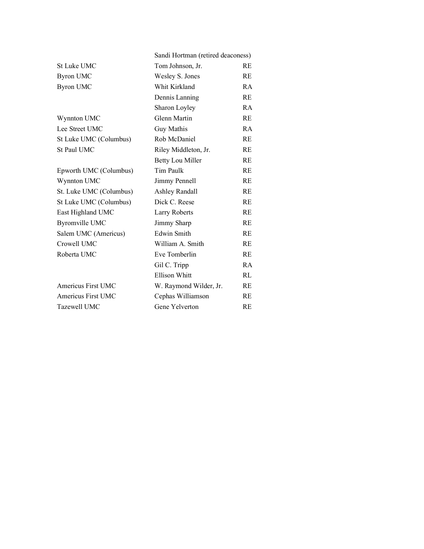|                         | Sandi Hortman (retired deaconess) |           |
|-------------------------|-----------------------------------|-----------|
| St Luke UMC             | Tom Johnson, Jr.                  | RE        |
| <b>Byron UMC</b>        | Wesley S. Jones                   | RE        |
| <b>Byron UMC</b>        | Whit Kirkland                     | RA        |
|                         | Dennis Lanning                    | <b>RE</b> |
|                         | Sharon Loyley                     | RA        |
| Wynnton UMC             | Glenn Martin                      | <b>RE</b> |
| Lee Street UMC          | Guy Mathis                        | RA        |
| St Luke UMC (Columbus)  | Rob McDaniel                      | <b>RE</b> |
| St Paul UMC             | Riley Middleton, Jr.              | <b>RE</b> |
|                         | <b>Betty Lou Miller</b>           | RE        |
| Epworth UMC (Columbus)  | Tim Paulk                         | RE        |
| Wynnton UMC             | Jimmy Pennell                     | <b>RE</b> |
| St. Luke UMC (Columbus) | <b>Ashley Randall</b>             | RE        |
| St Luke UMC (Columbus)  | Dick C. Reese                     | <b>RE</b> |
| East Highland UMC       | Larry Roberts                     | <b>RE</b> |
| <b>Byromville UMC</b>   | Jimmy Sharp                       | RE        |
| Salem UMC (Americus)    | <b>Edwin Smith</b>                | RE        |
| Crowell UMC             | William A. Smith                  | RE        |
| Roberta UMC             | Eve Tomberlin                     | RE        |
|                         | Gil C. Tripp                      | RA        |
|                         | Ellison Whitt                     | RL        |
| Americus First UMC      | W. Raymond Wilder, Jr.            | <b>RE</b> |
| Americus First UMC      | Cephas Williamson                 | <b>RE</b> |
| Tazewell UMC            | Gene Yelverton                    | RE        |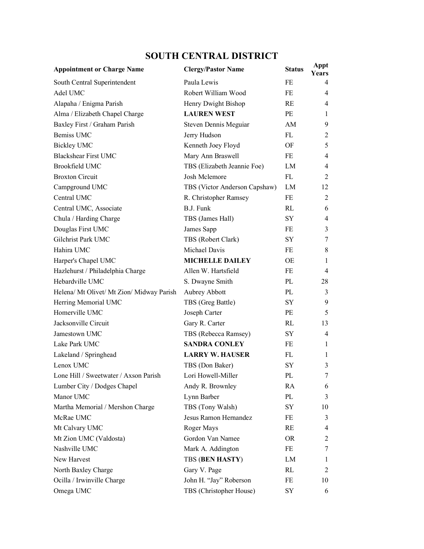# **SOUTH CENTRAL DISTRICT**

| <b>Appointment or Charge Name</b>         | <b>Clergy/Pastor Name</b>     | <b>Status</b> | Appt<br><b>Years</b> |
|-------------------------------------------|-------------------------------|---------------|----------------------|
| South Central Superintendent              | Paula Lewis                   | FE            | 4                    |
| Adel UMC                                  | Robert William Wood           | FE            | 4                    |
| Alapaha / Enigma Parish                   | Henry Dwight Bishop           | RE            | $\overline{4}$       |
| Alma / Elizabeth Chapel Charge            | <b>LAUREN WEST</b>            | PE            | 1                    |
| Baxley First / Graham Parish              | Steven Dennis Meguiar         | AM            | 9                    |
| Bemiss UMC                                | Jerry Hudson                  | FL            | 2                    |
| <b>Bickley UMC</b>                        | Kenneth Joey Floyd            | OF            | 5                    |
| <b>Blackshear First UMC</b>               | Mary Ann Braswell             | FE            | $\overline{4}$       |
| Brookfield UMC                            | TBS (Elizabeth Jeannie Foe)   | LM            | $\overline{4}$       |
| <b>Broxton Circuit</b>                    | Josh Mclemore                 | FL            | $\overline{2}$       |
| Campground UMC                            | TBS (Victor Anderson Capshaw) | LM            | 12                   |
| Central UMC                               | R. Christopher Ramsey         | FE            | 2                    |
| Central UMC, Associate                    | <b>B.J. Funk</b>              | RL.           | 6                    |
| Chula / Harding Charge                    | TBS (James Hall)              | SY            | $\overline{4}$       |
| Douglas First UMC                         | James Sapp                    | FE            | 3                    |
| Gilchrist Park UMC                        | TBS (Robert Clark)            | SY.           | 7                    |
| Hahira UMC                                | Michael Davis                 | FE            | 8                    |
| Harper's Chapel UMC                       | <b>MICHELLE DAILEY</b>        | OE            | 1                    |
| Hazlehurst / Philadelphia Charge          | Allen W. Hartsfield           | FE            | $\overline{4}$       |
| Hebardville UMC                           | S. Dwayne Smith               | PL            | 28                   |
| Helena/ Mt Olivet/ Mt Zion/ Midway Parish | Aubrey Abbott                 | PL            | 3                    |
| Herring Memorial UMC                      | TBS (Greg Battle)             | SY            | 9                    |
| Homerville UMC                            | Joseph Carter                 | PE            | 5                    |
| Jacksonville Circuit                      | Gary R. Carter                | RL            | 13                   |
| Jamestown UMC                             | TBS (Rebecca Ramsey)          | SY.           | $\overline{4}$       |
| Lake Park UMC                             | <b>SANDRA CONLEY</b>          | FE            | 1                    |
| Lakeland / Springhead                     | <b>LARRY W. HAUSER</b>        | FL            | 1                    |
| Lenox UMC                                 | TBS (Don Baker)               | SΥ            | 3                    |
| Lone Hill / Sweetwater / Axson Parish     | Lori Howell-Miller            | PL            | 7.                   |
| Lumber City / Dodges Chapel               | Andy R. Brownley              | RA            | 6                    |
| Manor UMC                                 | Lynn Barber                   | PL            | 3                    |
| Martha Memorial / Mershon Charge          | TBS (Tony Walsh)              | SY            | 10                   |
| McRae UMC                                 | Jesus Ramon Hernandez         | FE            | 3                    |
| Mt Calvary UMC                            | Roger Mays                    | RE            | 4                    |
| Mt Zion UMC (Valdosta)                    | Gordon Van Namee              | OR.           | 2                    |
| Nashville UMC                             | Mark A. Addington             | FE            | 7                    |
| New Harvest                               | <b>TBS (BEN HASTY)</b>        | LM            | 1                    |
| North Baxley Charge                       | Gary V. Page                  | RL            | 2                    |
| Ocilla / Irwinville Charge                | John H. "Jay" Roberson        | FE            | 10                   |
| Omega UMC                                 | TBS (Christopher House)       | SY            | 6                    |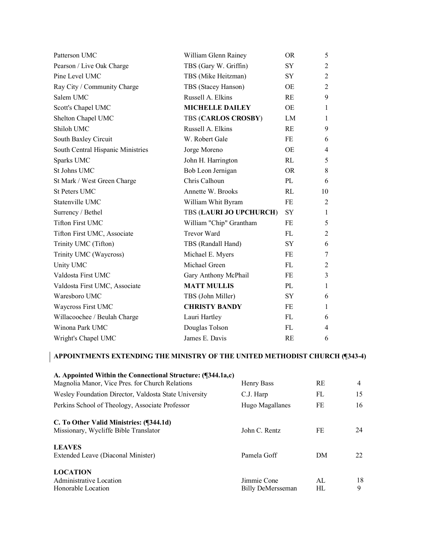| Patterson UMC                     | William Glenn Rainey       | <b>OR</b> | 5              |
|-----------------------------------|----------------------------|-----------|----------------|
| Pearson / Live Oak Charge         | TBS (Gary W. Griffin)      | SY        | $\overline{2}$ |
| Pine Level UMC                    | TBS (Mike Heitzman)        | SY        | $\overline{2}$ |
| Ray City / Community Charge       | TBS (Stacey Hanson)        | <b>OE</b> | $\overline{2}$ |
| Salem UMC                         | Russell A. Elkins          | RE        | 9              |
| Scott's Chapel UMC                | <b>MICHELLE DAILEY</b>     | <b>OE</b> | $\mathbf{1}$   |
| Shelton Chapel UMC                | <b>TBS (CARLOS CROSBY)</b> | LM        | 1              |
| Shiloh UMC                        | Russell A. Elkins          | <b>RE</b> | 9              |
| South Baxley Circuit              | W. Robert Gale             | FE        | 6              |
| South Central Hispanic Ministries | Jorge Moreno               | <b>OE</b> | 4              |
| Sparks UMC                        | John H. Harrington         | RL        | 5              |
| St Johns UMC                      | Bob Leon Jernigan          | <b>OR</b> | 8              |
| St Mark / West Green Charge       | Chris Calhoun              | PL        | 6              |
| <b>St Peters UMC</b>              | Annette W. Brooks          | RL        | 10             |
| Statenville UMC                   | William Whit Byram         | <b>FE</b> | $\overline{2}$ |
| Surrency / Bethel                 | TBS (LAURI JO UPCHURCH)    | SY        | 1              |
| <b>Tifton First UMC</b>           | William "Chip" Grantham    | FE        | 5              |
| Tifton First UMC, Associate       | <b>Trevor Ward</b>         | FL        | $\overline{2}$ |
| Trinity UMC (Tifton)              | TBS (Randall Hand)         | SY        | 6              |
| Trinity UMC (Waycross)            | Michael E. Myers           | FE        | 7              |
| Unity UMC                         | Michael Green              | FL.       | 2              |
| Valdosta First UMC                | Gary Anthony McPhail       | FE        | 3              |
| Valdosta First UMC, Associate     | <b>MATT MULLIS</b>         | PL        | $\mathbf{1}$   |
| Waresboro UMC                     | TBS (John Miller)          | SY.       | 6              |
| Waycross First UMC                | <b>CHRISTY BANDY</b>       | FE        | 1              |
| Willacoochee / Beulah Charge      | Lauri Hartley              | FL        | 6              |
| Winona Park UMC                   | Douglas Tolson             | FL.       | 4              |
| Wright's Chapel UMC               | James E. Davis             | RE        | 6              |

| A. Appointed Within the Connectional Structure: (¶344.1a,c) |                   |           |    |
|-------------------------------------------------------------|-------------------|-----------|----|
| Magnolia Manor, Vice Pres. for Church Relations             | Henry Bass        | <b>RE</b> | 4  |
| Wesley Foundation Director, Valdosta State University       | C.J. Harp         | FL        | 15 |
| Perkins School of Theology, Associate Professor             | Hugo Magallanes   | FE        | 16 |
| C. To Other Valid Ministries: (¶344.1d)                     |                   |           |    |
| Missionary, Wycliffe Bible Translator                       | John C. Rentz     | FE        | 24 |
| <b>LEAVES</b>                                               |                   |           |    |
| Extended Leave (Diaconal Minister)                          | Pamela Goff       | DM        | 22 |
| <b>LOCATION</b>                                             |                   |           |    |
| Administrative Location                                     | Jimmie Cone       | AI.       | 18 |
| Honorable Location                                          | Billy DeMersseman | HL        | 9  |
|                                                             |                   |           |    |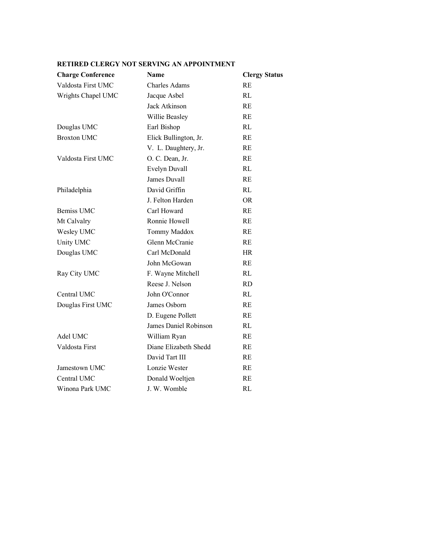| <b>Charge Conference</b> | Name                  | <b>Clergy Status</b> |
|--------------------------|-----------------------|----------------------|
| Valdosta First UMC       | <b>Charles Adams</b>  | RE                   |
| Wrights Chapel UMC       | Jacque Asbel          | RL                   |
|                          | <b>Jack Atkinson</b>  | RE                   |
|                          | Willie Beasley        | RE                   |
| Douglas UMC              | Earl Bishop           | RL                   |
| <b>Broxton UMC</b>       | Elick Bullington, Jr. | RE                   |
|                          | V. L. Daughtery, Jr.  | RE                   |
| Valdosta First UMC       | O. C. Dean, Jr.       | RE                   |
|                          | Evelyn Duvall         | RL                   |
|                          | James Duvall          | RE                   |
| Philadelphia             | David Griffin         | RL                   |
|                          | J. Felton Harden      | <b>OR</b>            |
| Bemiss UMC               | Carl Howard           | RE                   |
| Mt Calvalry              | Ronnie Howell         | RE                   |
| Wesley UMC               | Tommy Maddox          | RE                   |
| Unity UMC                | Glenn McCranie        | RE                   |
| Douglas UMC              | Carl McDonald         | <b>HR</b>            |
|                          | John McGowan          | RE                   |
| Ray City UMC             | F. Wayne Mitchell     | RL                   |
|                          | Reese J. Nelson       | <b>RD</b>            |
| Central UMC              | John O'Connor         | RL                   |
| Douglas First UMC        | James Osborn          | RE                   |
|                          | D. Eugene Pollett     | RE                   |
|                          | James Daniel Robinson | RL                   |
| Adel UMC                 | William Ryan          | RE                   |
| Valdosta First           | Diane Elizabeth Shedd | RE                   |
|                          | David Tart III        | RE                   |
| Jamestown UMC            | Lonzie Wester         | RE                   |
| Central UMC              | Donald Woeltjen       | RE                   |
| Winona Park UMC          | J. W. Womble          | RL                   |
|                          |                       |                      |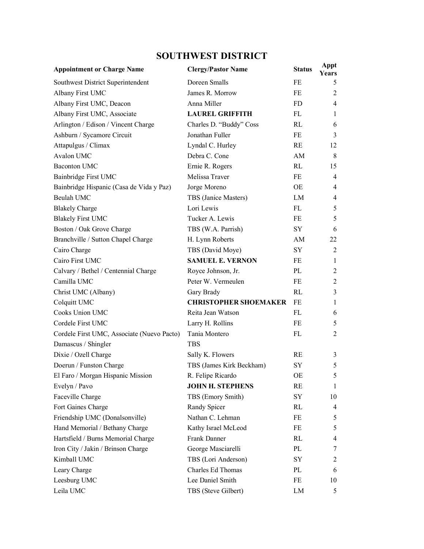# **SOUTHWEST DISTRICT**

| <b>Appointment or Charge Name</b>          | <b>Clergy/Pastor Name</b>    | <b>Status</b> | Appt<br><b>Years</b> |
|--------------------------------------------|------------------------------|---------------|----------------------|
| Southwest District Superintendent          | Doreen Smalls                | FE            | 5                    |
| Albany First UMC                           | James R. Morrow              | FE            | 2                    |
| Albany First UMC, Deacon                   | Anna Miller                  | <b>FD</b>     | $\overline{4}$       |
| Albany First UMC, Associate                | <b>LAUREL GRIFFITH</b>       | FL            | 1                    |
| Arlington / Edison / Vincent Charge        | Charles D. "Buddy" Coss      | RL            | 6                    |
| Ashburn / Sycamore Circuit                 | Jonathan Fuller              | FE            | 3                    |
| Attapulgus / Climax                        | Lyndal C. Hurley             | RE            | 12                   |
| Avalon UMC                                 | Debra C. Cone                | AM            | 8                    |
| <b>Baconton UMC</b>                        | Ernie R. Rogers              | RL            | 15                   |
| Bainbridge First UMC                       | Melissa Traver               | FE            | 4                    |
| Bainbridge Hispanic (Casa de Vida y Paz)   | Jorge Moreno                 | OE            | $\overline{4}$       |
| Beulah UMC                                 | TBS (Janice Masters)         | LM            | $\overline{4}$       |
| <b>Blakely Charge</b>                      | Lori Lewis                   | FL.           | 5                    |
| <b>Blakely First UMC</b>                   | Tucker A. Lewis              | FE            | 5                    |
| Boston / Oak Grove Charge                  | TBS (W.A. Parrish)           | SY            | 6                    |
| Branchville / Sutton Chapel Charge         | H. Lynn Roberts              | AM            | 22                   |
| Cairo Charge                               | TBS (David Moye)             | SY.           | 2                    |
| Cairo First UMC                            | <b>SAMUEL E. VERNON</b>      | FE            | 1                    |
| Calvary / Bethel / Centennial Charge       | Royce Johnson, Jr.           | PL            | $\overline{2}$       |
| Camilla UMC                                | Peter W. Vermeulen           | FE            | 2                    |
| Christ UMC (Albany)                        | Gary Brady                   | RL            | 3                    |
| Colquitt UMC                               | <b>CHRISTOPHER SHOEMAKER</b> | <b>FE</b>     | $\mathbf{1}$         |
| Cooks Union UMC                            | Reita Jean Watson            | FL            | 6                    |
| Cordele First UMC                          | Larry H. Rollins             | FE            | 5                    |
| Cordele First UMC, Associate (Nuevo Pacto) | Tania Montero                | FL            | $\overline{2}$       |
| Damascus / Shingler                        | <b>TBS</b>                   |               |                      |
| Dixie / Ozell Charge                       | Sally K. Flowers             | RE            | 3                    |
| Doerun / Funston Charge                    | TBS (James Kirk Beckham)     | SY            | 5                    |
| El Faro / Morgan Hispanic Mission          | R. Felipe Ricardo            | ОE            | C                    |
| Evelyn / Pavo                              | <b>JOHN H. STEPHENS</b>      | RE            | 1                    |
| Faceville Charge                           | TBS (Emory Smith)            | SY            | 10                   |
| Fort Gaines Charge                         | Randy Spicer                 | RL            | 4                    |
| Friendship UMC (Donalsonville)             | Nathan C. Lehman             | FE            | 5                    |
| Hand Memorial / Bethany Charge             | Kathy Israel McLeod          | FE            | 5                    |
| Hartsfield / Burns Memorial Charge         | Frank Danner                 | RL            | 4                    |
| Iron City / Jakin / Brinson Charge         | George Masciarelli           | PL            | 7                    |
| Kimball UMC                                | TBS (Lori Anderson)          | SY            | $\overline{c}$       |
| Leary Charge                               | Charles Ed Thomas            | PL            | 6                    |
| Leesburg UMC                               | Lee Daniel Smith             | FE            | 10                   |
| Leila UMC                                  | TBS (Steve Gilbert)          | ${\rm LM}$    | 5                    |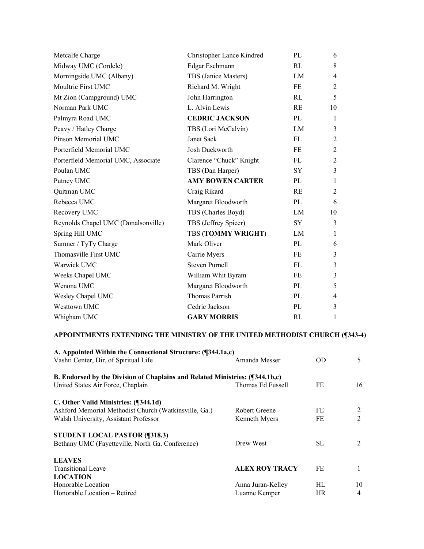| Metcalfe Charge                     | Christopher Lance Kindred | PL        | 6              |
|-------------------------------------|---------------------------|-----------|----------------|
| Midway UMC (Cordele)                | Edgar Eschmann            | RI        | 8              |
| Morningside UMC (Albany)            | TBS (Janice Masters)      | LM        | 4              |
| Moultrie First UMC                  | Richard M. Wright         | FE        | $\overline{2}$ |
| Mt Zion (Campground) UMC            | John Harrington           | RL        | 5              |
| Norman Park UMC                     | L. Alvin Lewis            | RE        | 10             |
| Palmyra Road UMC                    | <b>CEDRIC JACKSON</b>     | PL        | 1              |
| Peavy / Hatley Charge               | TBS (Lori McCalvin)       | LM        | 3              |
| Pinson Memorial UMC                 | Janet Sack                | FL        | 2              |
| Porterfield Memorial UMC            | Josh Duckworth            | FE        | 2              |
| Porterfield Memorial UMC, Associate | Clarence "Chuck" Knight   | FL        | 2              |
| Poulan UMC                          | TBS (Dan Harper)          | <b>SY</b> | 3              |
| Putney UMC                          | <b>AMY BOWEN CARTER</b>   | PL        | $\mathbf{1}$   |
| Quitman UMC                         | Craig Rikard              | RE        | 2              |
| Rebecca UMC                         | Margaret Bloodworth       | PL        | 6              |
| Recovery UMC                        | TBS (Charles Boyd)        | LM        | 10             |
| Reynolds Chapel UMC (Donalsonville) | TBS (Jeffrey Spicer)      | SY        | 3              |
| Spring Hill UMC                     | TBS (TOMMY WRIGHT)        | LM        | 1              |
| Sumner / TyTy Charge                | Mark Oliver               | PL        | 6              |
| Thomasville First UMC               | Carrie Myers              | FE        | 3              |
| Warwick UMC                         | <b>Steven Purnell</b>     | FL        | 3              |
| Weeks Chapel UMC                    | William Whit Byram        | FE        | 3              |
| Wenona UMC                          | Margaret Bloodworth       | PL        | 5              |
| Wesley Chapel UMC                   | Thomas Parrish            | PL        | 4              |
| Westtown UMC                        | Cedric Jackson            | PL        | 3              |
| Whigham UMC                         | <b>GARY MORRIS</b>        | RL        | 1              |

| A. Appointed Within the Connectional Structure: (¶344.1a,c)                  |                   |           |    |
|------------------------------------------------------------------------------|-------------------|-----------|----|
| Vashti Center, Dir. of Spiritual Life                                        | Amanda Messer     | <b>OD</b> | 5  |
| B. Endorsed by the Division of Chaplains and Related Ministries: (¶344.1b,c) |                   |           |    |
| United States Air Force, Chaplain                                            | Thomas Ed Fussell | FE        | 16 |
| C. Other Valid Ministries: (¶344.1d)                                         |                   |           |    |
| Ashford Memorial Methodist Church (Watkinsville, Ga.)                        | Robert Greene     | FE        | 2  |
| Walsh University, Assistant Professor                                        | Kenneth Myers     | FE        | 2  |
| <b>STUDENT LOCAL PASTOR (¶318.3)</b>                                         |                   |           |    |
| Bethany UMC (Fayetteville, North Ga. Conference)                             | Drew West         | SL.       | 2  |
| <b>LEAVES</b>                                                                |                   |           |    |
| <b>Transitional Leave</b>                                                    | ALEX ROY TRACY    | FE        |    |
| <b>LOCATION</b>                                                              |                   |           |    |
| Honorable Location                                                           | Anna Juran-Kelley | HL.       | 10 |
| Honorable Location – Retired                                                 | Luanne Kemper     | <b>HR</b> | 4  |